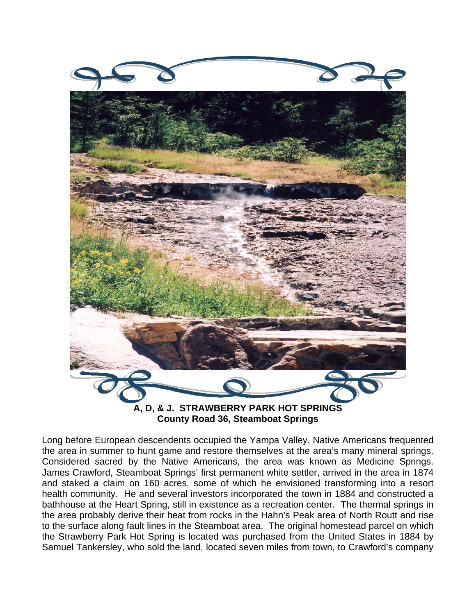

**County Road 36, Steamboat Springs** 

Long before European descendents occupied the Yampa Valley, Native Americans frequented the area in summer to hunt game and restore themselves at the area's many mineral springs. Considered sacred by the Native Americans, the area was known as Medicine Springs. James Crawford, Steamboat Springs' first permanent white settler, arrived in the area in 1874 and staked a claim on 160 acres, some of which he envisioned transforming into a resort health community. He and several investors incorporated the town in 1884 and constructed a bathhouse at the Heart Spring, still in existence as a recreation center. The thermal springs in the area probably derive their heat from rocks in the Hahn's Peak area of North Routt and rise to the surface along fault lines in the Steamboat area. The original homestead parcel on which the Strawberry Park Hot Spring is located was purchased from the United States in 1884 by Samuel Tankersley, who sold the land, located seven miles from town, to Crawford's company